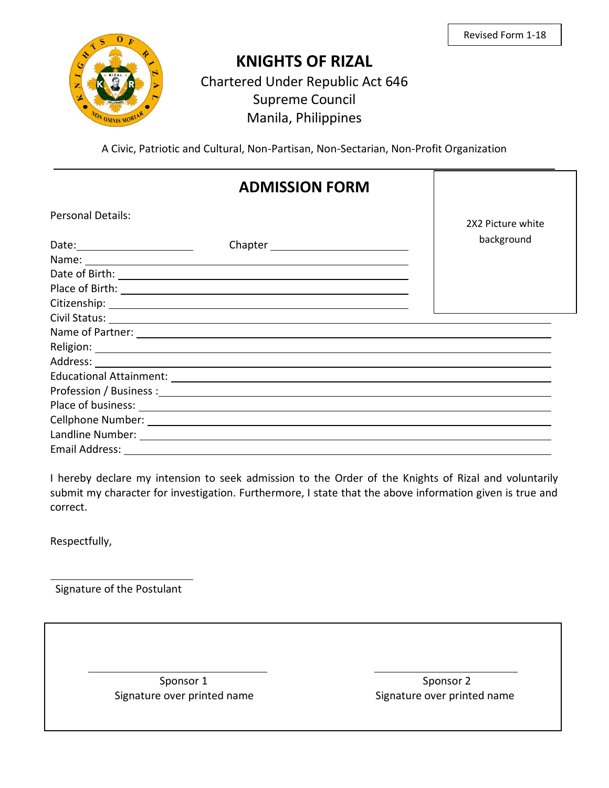

## **KNIGHTS OF RIZAL**

## Chartered Under Republic Act 646 Supreme Council Manila, Philippines

A Civic, Patriotic and Cultural, Non-Partisan, Non-Sectarian, Non-Profit Organization

|                                 | <b>ADMISSION FORM</b>                                                                                                                                                                                                               |                   |
|---------------------------------|-------------------------------------------------------------------------------------------------------------------------------------------------------------------------------------------------------------------------------------|-------------------|
| <b>Personal Details:</b>        |                                                                                                                                                                                                                                     | 2X2 Picture white |
| Date: _________________________ |                                                                                                                                                                                                                                     | background        |
|                                 |                                                                                                                                                                                                                                     |                   |
|                                 |                                                                                                                                                                                                                                     |                   |
|                                 |                                                                                                                                                                                                                                     |                   |
|                                 |                                                                                                                                                                                                                                     |                   |
|                                 | Civil Status: <u>Call Andrew Communication</u>                                                                                                                                                                                      |                   |
|                                 | Name of Partner: <u>Communications</u> Contract the Contract of Partners Contract of Partners Contract of Partners Contract of Contract of Contract of Contract of Contract of Contract of Contract of Contract of Contract of Cont |                   |
|                                 |                                                                                                                                                                                                                                     |                   |
|                                 |                                                                                                                                                                                                                                     |                   |
|                                 | Educational Attainment: contract and a series of the series of the series of the series of the series of the series of the series of the series of the series of the series of the series of the series of the series of the s      |                   |
|                                 |                                                                                                                                                                                                                                     |                   |
|                                 |                                                                                                                                                                                                                                     |                   |
|                                 |                                                                                                                                                                                                                                     |                   |
|                                 |                                                                                                                                                                                                                                     |                   |
|                                 |                                                                                                                                                                                                                                     |                   |

I hereby declare my intension to seek admission to the Order of the Knights of Rizal and voluntarily submit my character for investigation. Furthermore, I state that the above information given is true and correct.

Respectfully,

Signature of the Postulant

Sponsor 1 Sponsor 2 Signature over printed name Signature over printed name